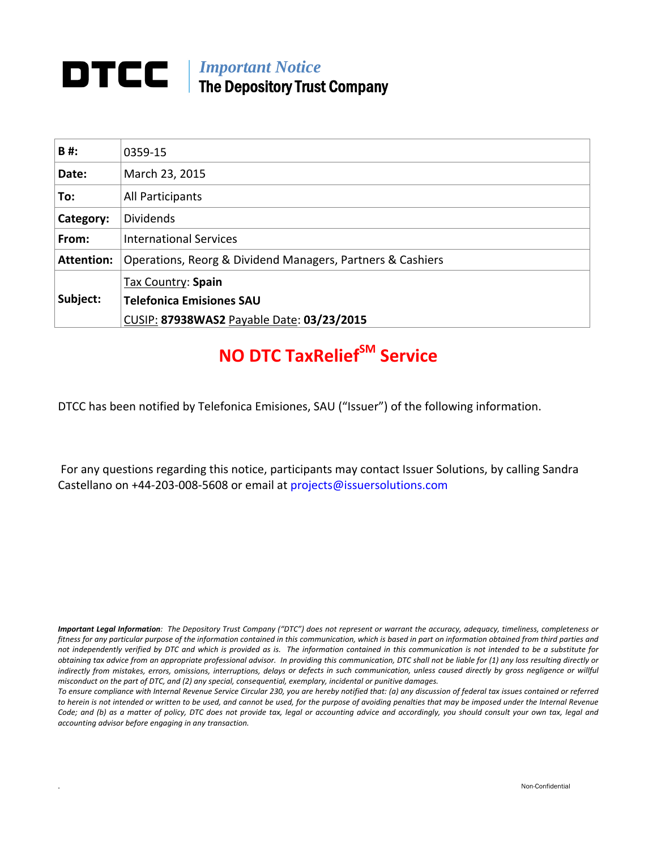## **DTCC** | *Important Notice* The Depository Trust Company

| B#:               | 0359-15                                                    |
|-------------------|------------------------------------------------------------|
| Date:             | March 23, 2015                                             |
| To:               | All Participants                                           |
| Category:         | <b>Dividends</b>                                           |
| From:             | <b>International Services</b>                              |
| <b>Attention:</b> | Operations, Reorg & Dividend Managers, Partners & Cashiers |
|                   | Tax Country: Spain                                         |
| Subject:          | <b>Telefonica Emisiones SAU</b>                            |
|                   | CUSIP: 87938WAS2 Payable Date: 03/23/2015                  |

# **NO DTC TaxReliefSM Service**

DTCC has been notified by Telefonica Emisiones, SAU ("Issuer") of the following information.

For any questions regarding this notice, participants may contact Issuer Solutions, by calling Sandra Castellano on +44‐203‐008‐5608 or email at projects@issuersolutions.com

Important Legal Information: The Depository Trust Company ("DTC") does not represent or warrant the accuracy, adequacy, timeliness, completeness or fitness for any particular purpose of the information contained in this communication, which is based in part on information obtained from third parties and not independently verified by DTC and which is provided as is. The information contained in this communication is not intended to be a substitute for obtaining tax advice from an appropriate professional advisor. In providing this communication, DTC shall not be liable for (1) any loss resulting directly or indirectly from mistakes, errors, omissions, interruptions, delays or defects in such communication, unless caused directly by gross negligence or willful *misconduct on the part of DTC, and (2) any special, consequential, exemplary, incidental or punitive damages.*

To ensure compliance with Internal Revenue Service Circular 230, you are hereby notified that: (a) any discussion of federal tax issues contained or referred to herein is not intended or written to be used, and cannot be used, for the purpose of avoiding penalties that may be imposed under the Internal Revenue Code; and (b) as a matter of policy, DTC does not provide tax, legal or accounting advice and accordingly, you should consult your own tax, legal and *accounting advisor before engaging in any transaction.*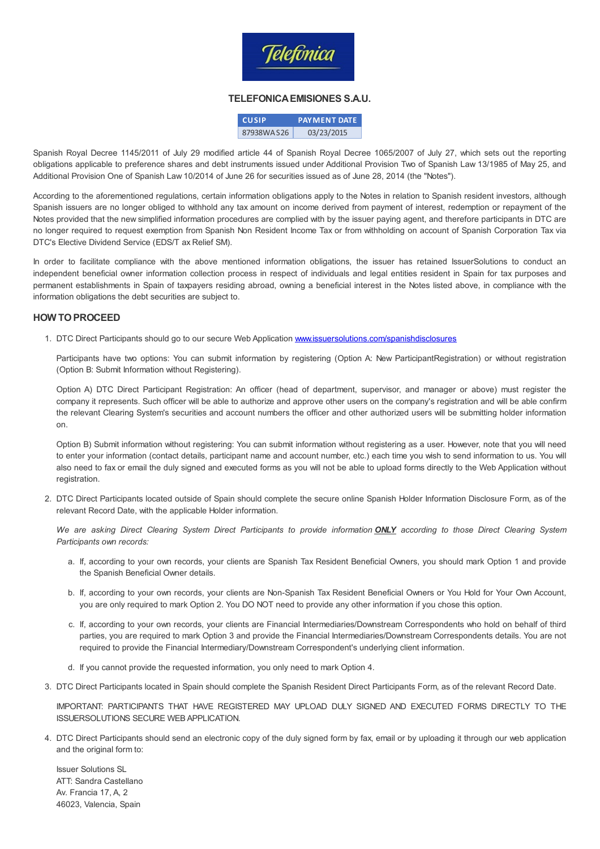

#### TELEFONICAEMISIONES S.A.U.

| <b>CUSIP</b> | <b>PAYMENT DATE</b> |
|--------------|---------------------|
| 87938WAS26   | 03/23/2015          |

Spanish Royal Decree 1145/2011 of July 29 modified article 44 of Spanish Royal Decree 1065/2007 of July 27, which sets out the reporting obligations applicable to preference shares and debt instruments issued under Additional Provision Two of Spanish Law 13/1985 of May 25, and Additional Provision One of Spanish Law 10/2014 of June 26 for securities issued as of June 28, 2014 (the "Notes").

According to the aforementioned regulations, certain information obligations apply to the Notes in relation to Spanish resident investors, although Spanish issuers are no longer obliged to withhold any tax amount on income derived from payment of interest, redemption or repayment of the Notes provided that the new simplified information procedures are complied with by the issuer paying agent, and therefore participants in DTC are no longer required to request exemption from Spanish Non Resident Income Tax or from withholding on account of Spanish Corporation Tax via DTC's Elective Dividend Service (EDS/T ax Relief SM).

In order to facilitate compliance with the above mentioned information obligations, the issuer has retained IssuerSolutions to conduct an independent beneficial owner information collection process in respect of individuals and legal entities resident in Spain for tax purposes and permanent establishments in Spain of taxpayers residing abroad, owning a beneficial interest in the Notes listed above, in compliance with the information obligations the debt securities are subject to.

#### HOW TOPROCEED

1. DTC Direct Participants should go to our secure Web Application [www.issuersolutions.com/spanishdisclosures](http://www.issuersolutions.com/spanishdisclosures)

Participants have two options: You can submit information by registering (Option A: New ParticipantRegistration) or without registration (Option B: Submit Information without Registering).

Option A) DTC Direct Participant Registration: An officer (head of department, supervisor, and manager or above) must register the company it represents. Such officer will be able to authorize and approve other users on the company's registration and will be able confirm the relevant Clearing System's securities and account numbers the officer and other authorized users will be submitting holder information on.

Option B) Submit information without registering: You can submit information without registering as a user. However, note that you will need to enter your information (contact details, participant name and account number, etc.) each time you wish to send information to us. You will also need to fax or email the duly signed and executed forms as you will not be able to upload forms directly to the Web Application without registration.

2. DTC Direct Participants located outside of Spain should complete the secure online Spanish Holder Information Disclosure Form, as of the relevant Record Date, with the applicable Holder information.

We are asking Direct Clearing System Direct Participants to provide information **ONLY** according to those Direct Clearing System Participants own records:

- a. If, according to your own records, your clients are Spanish Tax Resident Beneficial Owners, you should mark Option 1 and provide the Spanish Beneficial Owner details.
- b. If, according to your own records, your clients are Non-Spanish Tax Resident Beneficial Owners or You Hold for Your Own Account, you are only required to mark Option 2. You DO NOT need to provide any other information if you chose this option.
- c. If, according to your own records, your clients are Financial Intermediaries/Downstream Correspondents who hold on behalf of third parties, you are required to mark Option 3 and provide the Financial Intermediaries/Downstream Correspondents details. You are not required to provide the Financial Intermediary/Downstream Correspondent's underlying client information.
- d. If you cannot provide the requested information, you only need to mark Option 4.
- 3. DTC Direct Participants located in Spain should complete the Spanish Resident Direct Participants Form, as of the relevant Record Date.

IMPORTANT: PARTICIPANTS THAT HAVE REGISTERED MAY UPLOAD DULY SIGNED AND EXECUTED FORMS DIRECTLY TO THE ISSUERSOLUTIONS SECURE WEB APPLICATION.

4. DTC Direct Participants should send an electronic copy of the duly signed form by fax, email or by uploading it through our web application and the original form to:

Issuer Solutions SL ATT: Sandra Castellano Av. Francia 17, A, 2 46023, Valencia, Spain